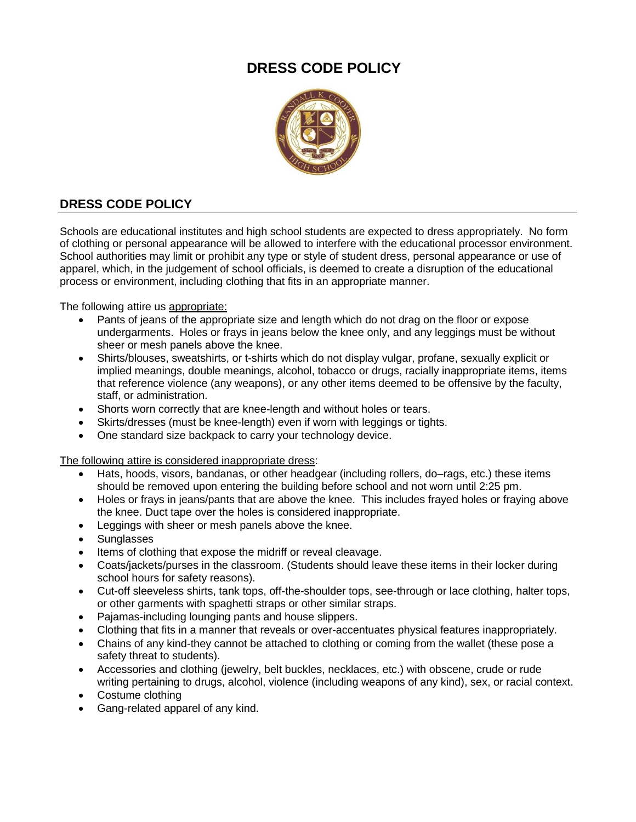## **DRESS CODE POLICY**



## **DRESS CODE POLICY**

Schools are educational institutes and high school students are expected to dress appropriately. No form of clothing or personal appearance will be allowed to interfere with the educational processor environment. School authorities may limit or prohibit any type or style of student dress, personal appearance or use of apparel, which, in the judgement of school officials, is deemed to create a disruption of the educational process or environment, including clothing that fits in an appropriate manner.

The following attire us appropriate:

- Pants of jeans of the appropriate size and length which do not drag on the floor or expose undergarments. Holes or frays in jeans below the knee only, and any leggings must be without sheer or mesh panels above the knee.
- Shirts/blouses, sweatshirts, or t-shirts which do not display vulgar, profane, sexually explicit or implied meanings, double meanings, alcohol, tobacco or drugs, racially inappropriate items, items that reference violence (any weapons), or any other items deemed to be offensive by the faculty, staff, or administration.
- Shorts worn correctly that are knee-length and without holes or tears.
- Skirts/dresses (must be knee-length) even if worn with leggings or tights.
- One standard size backpack to carry your technology device.

The following attire is considered inappropriate dress:

- Hats, hoods, visors, bandanas, or other headgear (including rollers, do–rags, etc.) these items should be removed upon entering the building before school and not worn until 2:25 pm.
- Holes or frays in jeans/pants that are above the knee. This includes frayed holes or fraying above the knee. Duct tape over the holes is considered inappropriate.
- Leggings with sheer or mesh panels above the knee.
- Sunglasses
- Items of clothing that expose the midriff or reveal cleavage.
- Coats/jackets/purses in the classroom. (Students should leave these items in their locker during school hours for safety reasons).
- Cut-off sleeveless shirts, tank tops, off-the-shoulder tops, see-through or lace clothing, halter tops, or other garments with spaghetti straps or other similar straps.
- Pajamas-including lounging pants and house slippers.
- Clothing that fits in a manner that reveals or over-accentuates physical features inappropriately.
- Chains of any kind-they cannot be attached to clothing or coming from the wallet (these pose a safety threat to students).
- Accessories and clothing (jewelry, belt buckles, necklaces, etc.) with obscene, crude or rude writing pertaining to drugs, alcohol, violence (including weapons of any kind), sex, or racial context.
- Costume clothing
- Gang-related apparel of any kind.